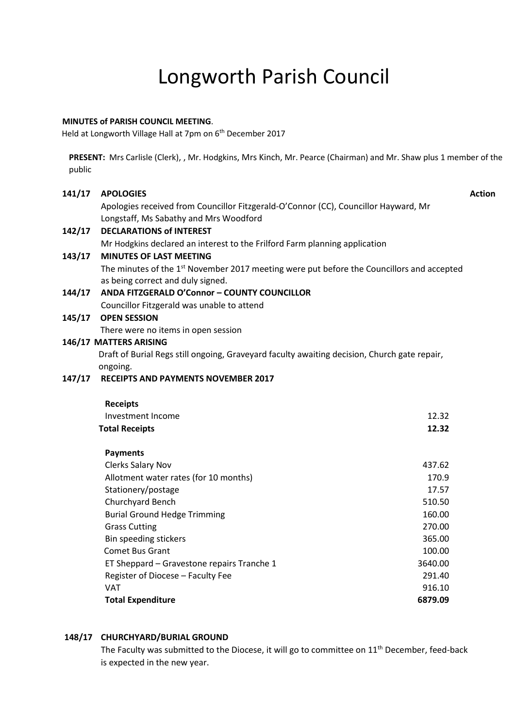# Longworth Parish Council

## **MINUTES of PARISH COUNCIL MEETING**.

Held at Longworth Village Hall at 7pm on 6<sup>th</sup> December 2017

**PRESENT:** Mrs Carlisle (Clerk), , Mr. Hodgkins, Mrs Kinch, Mr. Pearce (Chairman) and Mr. Shaw plus 1 member of the public

## **141/17 APOLOGIES**

**Action**

Apologies received from Councillor Fitzgerald-O'Connor (CC), Councillor Hayward, Mr Longstaff, Ms Sabathy and Mrs Woodford

# **142/17 DECLARATIONS of INTEREST**

Mr Hodgkins declared an interest to the Frilford Farm planning application

# **143/17 MINUTES OF LAST MEETING**

The minutes of the 1<sup>st</sup> November 2017 meeting were put before the Councillors and accepted as being correct and duly signed.

# **144/17 ANDA FITZGERALD O'Connor – COUNTY COUNCILLOR** Councillor Fitzgerald was unable to attend

## **145/17 OPEN SESSION**

There were no items in open session

# **146/17 MATTERS ARISING**

Draft of Burial Regs still ongoing, Graveyard faculty awaiting decision, Church gate repair, ongoing.

# **147/17 RECEIPTS AND PAYMENTS NOVEMBER 2017**

| <b>Receipts</b>       |       |
|-----------------------|-------|
| Investment Income     | 12.32 |
| <b>Total Receipts</b> | 12.32 |

| <b>Payments</b>                            |         |
|--------------------------------------------|---------|
| <b>Clerks Salary Nov</b>                   | 437.62  |
| Allotment water rates (for 10 months)      | 170.9   |
| Stationery/postage                         | 17.57   |
| Churchyard Bench                           | 510.50  |
| <b>Burial Ground Hedge Trimming</b>        | 160.00  |
| <b>Grass Cutting</b>                       | 270.00  |
| Bin speeding stickers                      | 365.00  |
| <b>Comet Bus Grant</b>                     | 100.00  |
| ET Sheppard – Gravestone repairs Tranche 1 | 3640.00 |
| Register of Diocese – Faculty Fee          | 291.40  |
| <b>VAT</b>                                 | 916.10  |
| <b>Total Expenditure</b>                   | 6879.09 |

# **148/17 CHURCHYARD/BURIAL GROUND**

The Faculty was submitted to the Diocese, it will go to committee on 11<sup>th</sup> December, feed-back is expected in the new year.